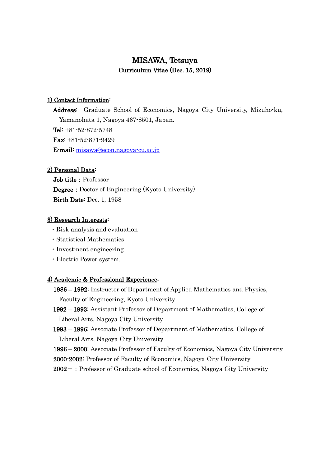# MISAWA, Tetsuya Curriculum Vitae (Dec. 15, 2019)

#### 1) Contact Information:

Address: Graduate School of Economics, Nagoya City University, Mizuho-ku, Yamanohata 1, Nagoya 467-8501, Japan. Tel: +81-52-872-5748 Fax: +81-52-871-9429 E-mail: [misawa@econ.nagoya-cu.ac.jp](mailto:misawa@econ.nagoya-cu.ac.jp)

### 2) Personal Data:

Job title: Professor **Degree:** Doctor of Engineering (Kyoto University) Birth Date: Dec. 1, 1958

#### 3) Research Interests:

- ・Risk analysis and evaluation
- ・Statistical Mathematics
- ・Investment engineering
- ・Electric Power system.

#### 4) Academic & Professional Experience:

1986 – 1992: Instructor of Department of Applied Mathematics and Physics, Faculty of Engineering, Kyoto University

1992 – 1993: Assistant Professor of Department of Mathematics, College of Liberal Arts, Nagoya City University

1993 – 1996: Associate Professor of Department of Mathematics, College of Liberal Arts, Nagoya City University

1996 – 2000: Associate Professor of Faculty of Economics, Nagoya City University

2000-2002: Professor of Faculty of Economics, Nagoya City University

 $2002-$ : Professor of Graduate school of Economics, Nagoya City University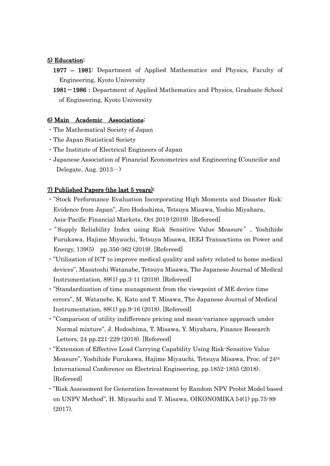## 5) Education:

- 1977 1981: Department of Applied Mathematics and Physics, Faculty of Engineering, Kyoto University
- 1981-1986:Department of Applied Mathematics and Physics, Graduate School of Engineering, Kyoto University

## 6) Main Academic Associations:

- ・The Mathematical Society of Japan
- ・The Japan Statistical Society
- ・The Institute of Electrical Engineers of Japan
- ・Japanese Association of Financial Econometrics and Engineering (Councilor and Delegate, Aug.  $2013-$

## 7) Published Papers (the last 5 years):

- ・"Stock Performance Evaluation Incorporating High Moments and Disaster Risk: Evidence from Japan", Jiro Hodoshima, Tetsuya Misawa, Yoshio Miyahara, Asia-Pacific Financial Markets, Oct 2019 (2019). [Refereed]
- ・"Supply Reliability Index using Risk Sensitive Value Measure", Yoshihide Furukawa, Hajime Miyauchi, Tetsuya Misawa, IEEJ Transactions on Power and Energy, 139(5) pp.356-362 (2019). [Refereed]
- ・"Utilization of ICT to improve medical quality and safety related to home medical devices", Masatoshi Watanabe, Tetsuya Misawa, The Japanese Journal of Medical Instrumentation, 89(1) pp.3-11 (2019). [Refereed]
- ・"Standardization of time management from the viewpoint of ME device time errors", M. Watanebe, K. Kato and T. Misawa, The Japanese Journal of Medical Instrumentation, 88(1) pp.9-16 (2018). [Refereed]
- ・"Comparison of utility indifference pricing and mean-variance approach under Normal mixture", J. Hodoshima, T. Misawa, Y. Miyahara, Finance Research Letters, 24 pp.221-229 (2018). [Refereed]
- ・"Extension of Effective Load Carrying Capability Using Risk-Sensitive Value Measure", Yoshihide Furukawa, Hajime Miyauchi, Tetsuya Misawa, Proc. of 24th International Conference on Electrical Engineering, pp.1852-1855 (2018). [Refereed]
- ・"Risk Assessment for Generation Investment by Random NPV Probit Model based on UNPV Method", H. Miyauchi and T. Misawa, OIKONOMIKA 54(1) pp.75-89 (2017).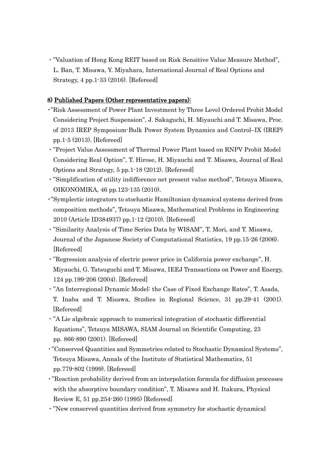・"Valuation of Hong Kong REIT based on Risk Sensitive Value Measure Method", L. Ban, T. Misawa, Y. Miyahara, International Journal of Real Options and Strategy, 4 pp.1-33 (2016). [Refereed]

## 8) Published Papers (Other representative papers):

- ・"Risk Assessment of Power Plant Investment by Three Level Ordered Probit Model Considering Project Suspension", J. Sakaguchi, H. Miyauchi and T. Misawa, Proc. of 2013 IREP Symposium-Bulk Power System Dynamics and Control–IX (IREP) pp.1-5 (2013). [Refereed]
- ・"Project Value Assessment of Thermal Power Plant based on RNPV Probit Model Considering Real Option", T. Hirose, H. Miyauchi and T. Misawa, Journal of Real Options and Strategy, 5 pp.1-18 (2012). [Refereed]
- ・"Simplification of utility indifference net present value method", Tetsuya Misawa, OIKONOMIKA, 46 pp.123-135 (2010).
- ・"Symplectic integrators to stochastic Hamiltonian dynamical systems derived from composition methods", Tetsuya Misawa, Mathematical Problems in Engineering 2010 (Article ID384937) pp.1-12 (2010). [Refereed]
- ・"Similarity Analysis of Time Series Data by WISAM", T. Mori, and T. Misawa, Journal of the Japanese Society of Computational Statistics, 19 pp.15-26 (2006). [Refereed]
- ・"Regression analysis of electric power price in California power exchange", H. Miyauchi, G. Tatsuguchi and T. Misawa, IEEJ Transactions on Power and Energy, 124 pp.199-206 (2004). [Refereed]
- ・"An Interregional Dynamic Model: the Case of Fixed Exchange Rates", T. Asada, T. Inaba and T. Misawa, Studies in Regional Science, 31 pp.29-41 (2001). [Refereed]
- ・"A Lie algebraic approach to numerical integration of stochastic differential Equations", Tetsuya MISAWA, SIAM Journal on Scientific Computing, 23 pp. 866-890 (2001). [Refereed]
- ・"Conserved Quantities and Symmetries related to Stochastic Dynamical Systems", Tetsuya Misawa, Annals of the Institute of Statistical Mathematics, 51 pp.779-802 (1999). [Refereed]
- ・"Reaction probability derived from an interpolation formula for diffusion processes with the absorptive boundary condition", T. Misawa and H. Itakura, Physical Review E, 51 pp.254-260 (1995) [Refereed]
- ・"New conserved quantities derived from symmetry for stochastic dynamical